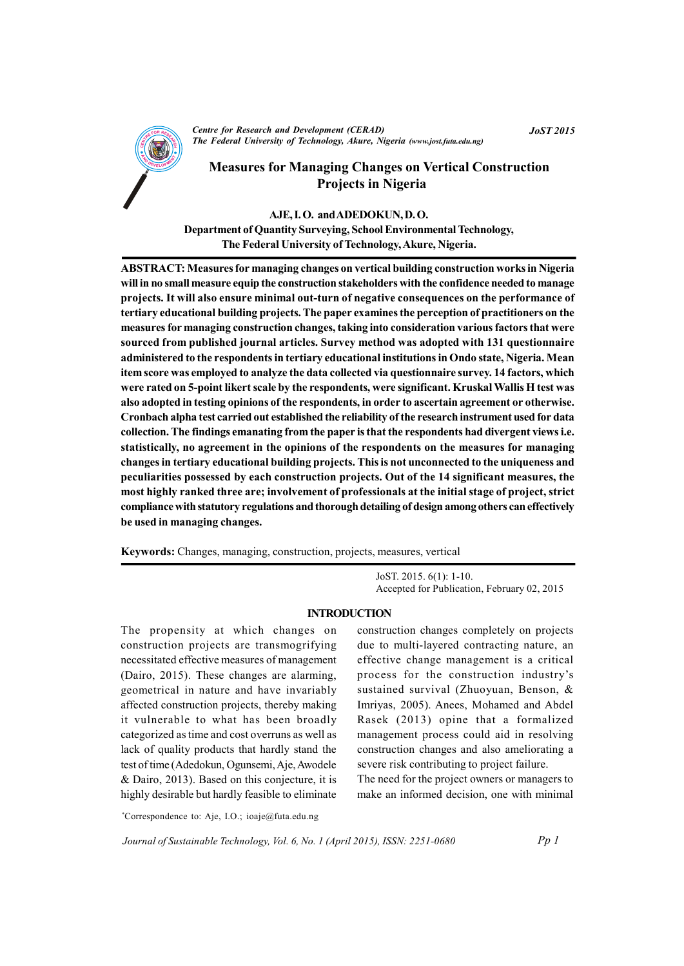

Centre for Research and Development (CERAD) The Federal University of Technology, Akure, Nigeria (www.jost.futa.edu.ng) **JoST 2015** 

# **Measures for Managing Changes on Vertical Construction Projects in Nigeria**

## AJE. I.O. and ADEDOKUN. D.O.

Department of Quantity Surveying, School Environmental Technology, The Federal University of Technology, Akure, Nigeria.

**ABSTRACT: Measures for managing changes on vertical building construction works in Nigeria** will in no small measure equip the construction stakeholders with the confidence needed to manage projects. It will also ensure minimal out-turn of negative consequences on the performance of tertiary educational building projects. The paper examines the perception of practitioners on the measures for managing construction changes, taking into consideration various factors that were sourced from published journal articles. Survey method was adopted with 131 questionnaire administered to the respondents in tertiary educational institutions in Ondo state, Nigeria. Mean item score was employed to analyze the data collected via questionnaire survey. 14 factors, which were rated on 5-point likert scale by the respondents, were significant. Kruskal Wallis H test was also adopted in testing opinions of the respondents, in order to ascertain agreement or otherwise. Cronbach alpha test carried out established the reliability of the research instrument used for data collection. The findings emanating from the paper is that the respondents had divergent views i.e. statistically, no agreement in the opinions of the respondents on the measures for managing changes in tertiary educational building projects. This is not unconnected to the uniqueness and peculiarities possessed by each construction projects. Out of the 14 significant measures, the most highly ranked three are; involvement of professionals at the initial stage of project, strict compliance with statutory regulations and thorough detailing of design among others can effectively be used in managing changes.

Keywords: Changes, managing, construction, projects, measures, vertical

 $JOST. 2015. 6(1): 1-10.$ Accepted for Publication, February 02, 2015

## **INTRODUCTION**

The propensity at which changes on construction projects are transmogrifying necessitated effective measures of management (Dairo, 2015). These changes are alarming, geometrical in nature and have invariably affected construction projects, thereby making it vulnerable to what has been broadly categorized as time and cost overruns as well as lack of quality products that hardly stand the test of time (Adedokun, Ogunsemi, Aje, Awodele & Dairo, 2013). Based on this conjecture, it is highly desirable but hardly feasible to eliminate

construction changes completely on projects due to multi-layered contracting nature, an effective change management is a critical process for the construction industry's sustained survival (Zhuoyuan, Benson, & Imriyas, 2005). Anees, Mohamed and Abdel Rasek (2013) opine that a formalized management process could aid in resolving construction changes and also ameliorating a severe risk contributing to project failure.

The need for the project owners or managers to make an informed decision, one with minimal

\*Correspondence to: Aje, I.O.; ioaje@futa.edu.ng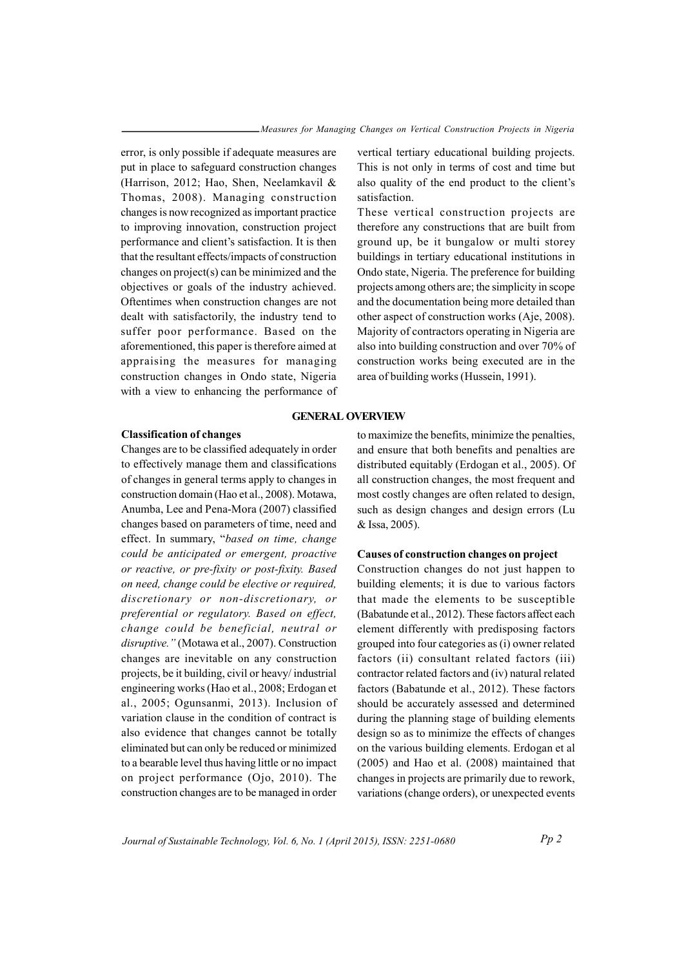error, is only possible if adequate measures are put in place to safeguard construction changes (Harrison, 2012; Hao, Shen, Neelamkavil & Thomas, 2008). Managing construction changes is now recognized as important practice to improving innovation, construction project performance and client's satisfaction. It is then that the resultant effects/impacts of construction changes on project( $s$ ) can be minimized and the objectives or goals of the industry achieved. Oftentimes when construction changes are not dealt with satisfactorily, the industry tend to suffer poor performance. Based on the aforementioned, this paper is therefore aimed at appraising the measures for managing construction changes in Ondo state, Nigeria with a view to enhancing the performance of

# **GENERAL OVERVIEW**

## *<u><b>Classification* of changes</u>

Changes are to be classified adequately in order to effectively manage them and classifications of changes in general terms apply to changes in construction domain (Hao et al., 2008). Motawa, Anumba, Lee and Pena-Mora (2007) classified changes based on parameters of time, need and effect. In summary, "based on time, change *could be anticipated or emergent, proactive or rea tc ive, ro pre- if xity or po ts -fixity. Bas de*  $on$  *need, change could be elective or required,*  $discretionary$  *or non-discretionary, or preferential or regulatory. Based on effect,*  $i$  *change could be beneficial, neutral or disruptive.*" (Motawa et al., 2007). Construction changes are inevitable on any construction projects, be it building, civil or heavy/ industrial engineering works (Hao et al., 2008; Erdogan et al., 2005; Ogunsanmi, 2013). Inclusion of variation clause in the condition of contract is also evidence that changes cannot be totally eliminated but can only be reduced or minimized to a bearable level thus having little or no impact on project performance  $(O$ <sub>i</sub> $o$ , 2010). The construction changes are to be managed in order

vertical tertiary educational building projects. This is not only in terms of cost and time but also quality of the end product to the client's satisfaction.

These vertical construction projects are therefore any constructions that are built from ground up, be it bungalow or multi storey buildings in tertiary educational institutions in Ondo state, Nigeria. The preference for building projects among others are; the simplicity in scope and the documentation being more detailed than other aspect of construction works (Aje, 2008). Majority of contractors operating in Nigeria are also into building construction and over  $70\%$  of construction works being executed are in the area of building works (Hussein, 1991).

# to maximize the benefits, minimize the penalties,

and ensure that both benefits and penalties are distributed equitably (Erdogan et al., 2005). Of all construction changes, the most frequent and most costly changes are often related to design, such as design changes and design errors (Lu & Issa, 2005).

## $C$  **auses** of construction changes on project

Construction changes do not just happen to building elements; it is due to various factors that made the elements to be susceptible (Babatunde et al.,  $2012$ ). These factors affect each element differently with predisposing factors grouped into four categories as (i) owner related factors (ii) consultant related factors (iii) contractor related factors and (iv) natural related factors (Babatunde et al.,  $2012$ ). These factors should be accurately assessed and determined during the planning stage of building elements design so as to minimize the effects of changes on the various building elements. Erdogan et al  $(2005)$  and Hao et al.  $(2008)$  maintained that changes in projects are primarily due to rework, variations (change orders), or unexpected events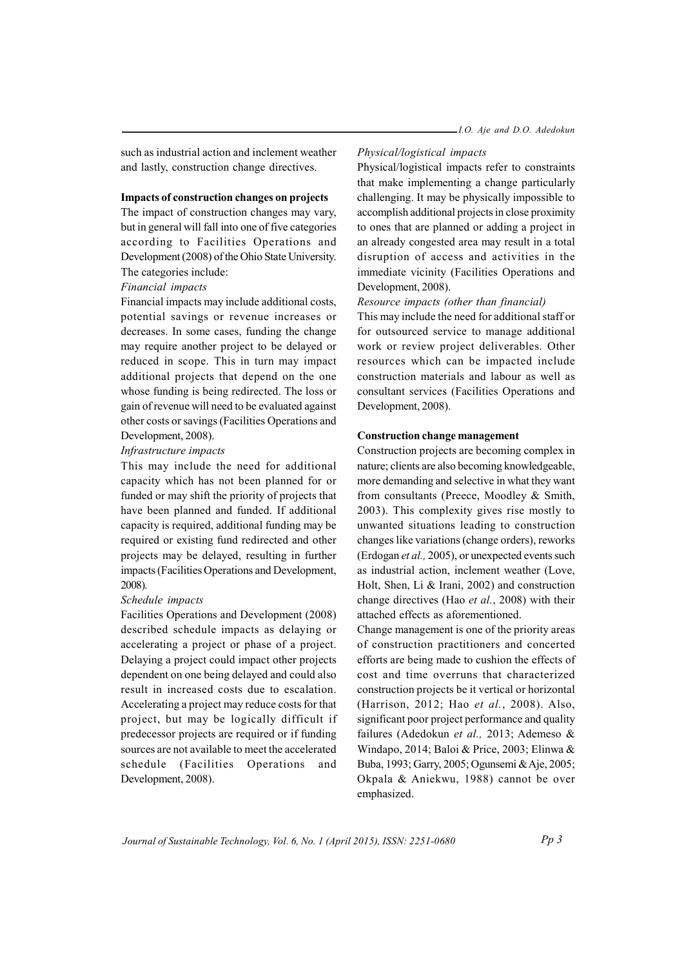such as industrial action and inclement weather and lastly, construction change directives.

## **Impacts of construction changes on projects**

The impact of construction changes may vary, but in general will fall into one of five categories according to Facilities Operations and Development (2008) of the Ohio State University. The categories include:

#### *Financial impacts*

Financial impacts may include additional costs, potential savings or revenue increases or decreases. In some cases, funding the change may require another project to be delayed or reduced in scope. This in turn may impact additional projects that depend on the one whose funding is being redirected. The loss or gain of revenue will need to be evaluated against other costs or savings (Facilities Operations and Development, 2008).

#### *Infrastructure impacts*

This may include the need for additional capacity which has not been planned for or funded or may shift the priority of projects that have been planned and funded. If additional capacity is required, additional funding may be required or existing fund redirected and other projects may be delayed, resulting in further impacts (Facilities Operations and Development, 2008).

#### *Schedule impac st*

Facilities Operations and Development (2008) described schedule impacts as delaying or accelerating a project or phase of a project. Delaying a project could impact other projects dependent on one being delayed and could also result in increased costs due to escalation. Accelerating a project may reduce costs for that project, but may be logically difficult if predecessor projects are required or if funding sources are not available to meet the accelerated schedule (Facilities Operations and Development, 2008).

## *Physical/logistical impacts*

Physical/logistical impacts refer to constraints that make implementing a change particularly challenging. It may be physically impossible to accomplish additional projects in close proximity to ones that are planned or adding a project in an already congested area may result in a total disruption of access and activities in the immediate vicinity (Facilities Operations and Development, 2008).

#### *Resource impacts (other than financial)*

This may include the need for additional staff or for outsourced service to manage additional work or review project deliverables. Other resources which can be impacted include construction materials and labour as well as consultant services (Facilities Operations and Development, 2008).

#### **construction change management**

Construction projects are becoming complex in nature; clients are also becoming knowledgeable, more demanding and selective in what they want from consultants (Preece, Moodley  $&$  Smith, 2003). This complexity gives rise mostly to unwanted situations leading to construction changes like variations (change orders), reworks (Erdogan et al., 2005), or unexpected events such as industrial action, inclement weather (Love, Holt, Shen, Li  $&$  Irani, 2002) and construction change directives (Hao et al., 2008) with their attached effects as aforementioned.

Change management is one of the priority areas of construction practitioners and concerted efforts are being made to cushion the effects of cost and time overruns that characterized construction projects be it vertical or horizontal (Harrison, 2012; Hao *et al.*, 2008). Also, significant poor project performance and quality failures (Adedokun et al., 2013; Ademeso & Windapo, 2014; Baloi & Price, 2003; Elinwa & Buba, 1993; Garry, 2005; Ogunsemi & Aje, 2005; Okpala & Aniekwu, 1988) cannot be over emphasized.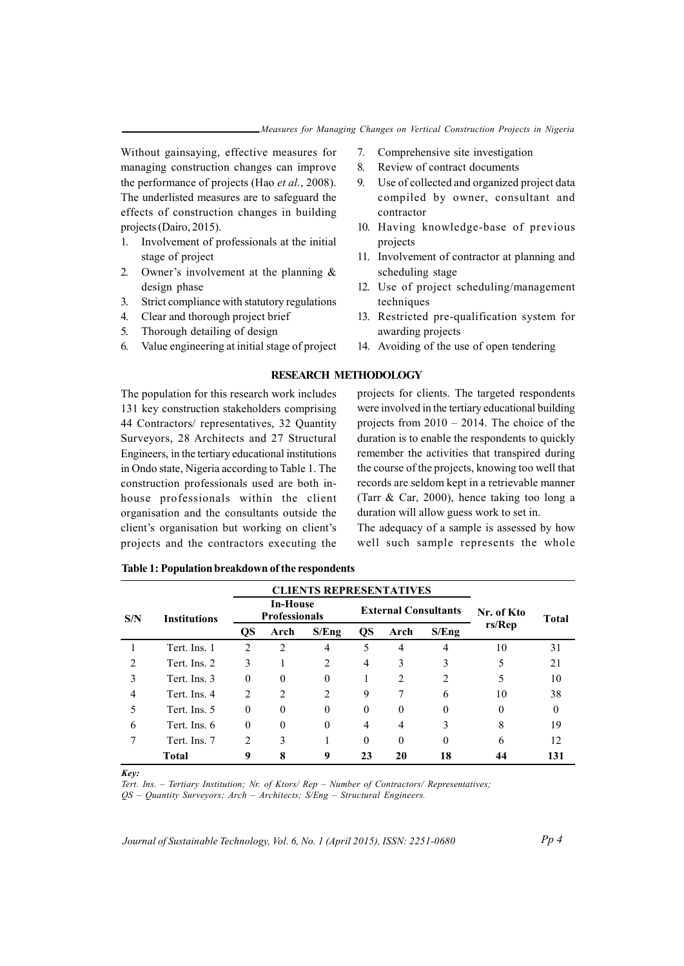Without gainsaying, effective measures for managing construction changes can improve the performance of projects (Hao et al., 2008). The underlisted measures are to safeguard the effects of construction changes in building projects (Dairo, 2015).

- Involvement of professionals at the initial 1. stage of project
- $2^{\circ}$ Owner's involvement at the planning  $\&$ design phase
- 3. Strict compliance with statutory regulations
- 4. Clear and thorough project brief
- 5. Thorough detailing of design
- 6. Value engineering at initial stage of project
- 7. Comprehensive site investigation
- $\mathbf{R}$ Review of contract documents
- $\mathbf{Q}$ Use of collected and organized project data compiled by owner, consultant and contractor
- 10. Having knowledge-base of previous projects
- 11. Involvement of contractor at planning and scheduling stage
- 12. Use of project scheduling/management techniques
- 13. Restricted pre-qualification system for awarding projects
- 14. Avoiding of the use of open tendering

## **RESEARCH METHODOLOGY**

The population for this research work includes 131 key construction stakeholders comprising 44 Contractors/ representatives, 32 Ouantity Surveyors, 28 Architects and 27 Structural Engineers, in the tertiary educational institutions in Ondo state, Nigeria according to Table 1. The construction professionals used are both inhouse professionals within the client organisation and the consultants outside the client's organisation but working on client's projects and the contractors executing the

projects for clients. The targeted respondents were involved in the tertiary educational building projects from  $2010 - 2014$ . The choice of the duration is to enable the respondents to quickly remember the activities that transpired during the course of the projects, knowing too well that records are seldom kept in a retrievable manner (Tarr  $\&$  Car, 2000), hence taking too long a duration will allow guess work to set in.

The adequacy of a sample is assessed by how well such sample represents the whole

|                |                     |                | <b>CLIENTS REPRESENTATIVES</b>          |          |          |      |                             |            |              |
|----------------|---------------------|----------------|-----------------------------------------|----------|----------|------|-----------------------------|------------|--------------|
| S/N            | <b>Institutions</b> |                | <b>In-House</b><br><b>Professionals</b> |          |          |      | <b>External Consultants</b> | Nr. of Kto | <b>Total</b> |
|                |                     | <b>QS</b>      | Arch                                    | S/Eng    | QS       | Arch | S/Eng                       | rs/Rep     |              |
|                | Tert. Ins. 1        | 2              | 2                                       | 4        | 5        | 4    | 4                           | 10         | 31           |
| 2              | Tert. Ins. 2        | 3              |                                         | 2        | 4        | 3    | 3                           | 5          | 21           |
| 3              | Tert. Ins. 3        | $\theta$       | $\theta$                                | $\theta$ |          | 2    | 2                           | 5          | 10           |
| $\overline{4}$ | Tert. Ins. 4        | $\mathfrak{D}$ | $\mathfrak{D}$                          | 2        | 9        |      | 6                           | 10         | 38           |
|                | Tert. Ins. 5        | $\Omega$       | $\Omega$                                | $\theta$ | $\Omega$ | 0    | $\Omega$                    | $\theta$   | 0            |
| 6              | Tert. Ins. 6        | $\theta$       | $\Omega$                                | $\theta$ | 4        | 4    | 3                           | 8          | 19           |
|                | Tert. Ins. 7        | $\mathfrak{D}$ | 3                                       |          | $\Omega$ | 0    | $_{0}$                      | 6          | 12           |
|                | <b>Total</b>        | 9              | 8                                       | 9        | 23       | 20   | 18                          | 44         | 131          |

Table 1: Population breakdown of the respondents

Kev:

Tert. Ins. - Tertiary Institution; Nr. of Ktors/ Rep - Number of Contractors/ Representatives:

 $QS - Quantity$  Surveyors; Arch - Architects; S/Eng - Structural Engineers.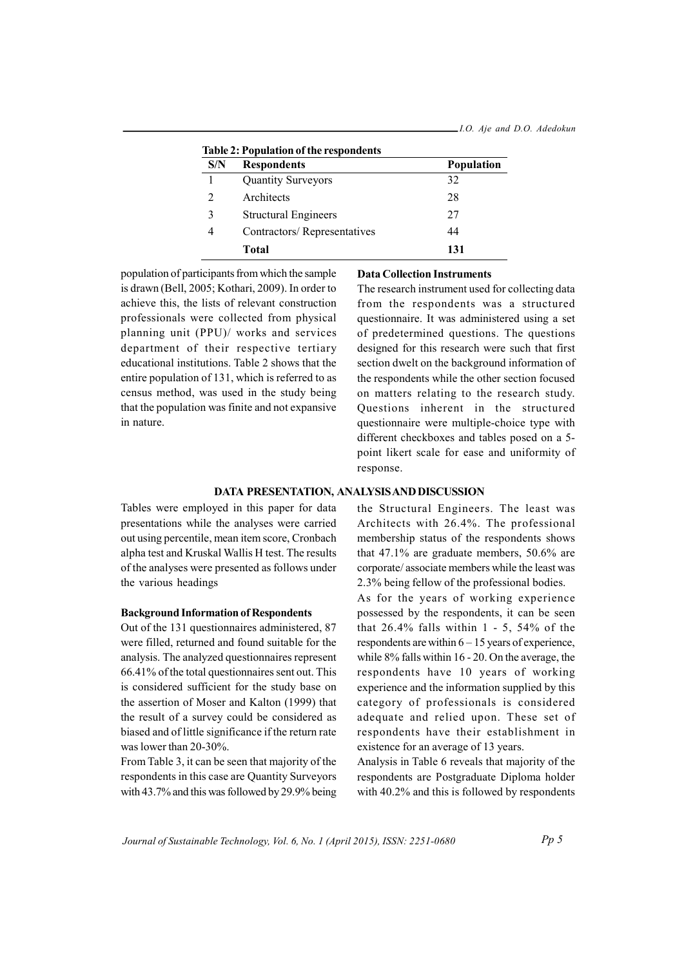| Table 2: Population of the respondents |                             |                   |  |  |
|----------------------------------------|-----------------------------|-------------------|--|--|
| S/N                                    | <b>Respondents</b>          | <b>Population</b> |  |  |
|                                        | <b>Quantity Surveyors</b>   | 32                |  |  |
| 2                                      | Architects                  | 28                |  |  |
| 3                                      | <b>Structural Engineers</b> | 27                |  |  |
| 4                                      | Contractors/Representatives | 44                |  |  |
|                                        | Total                       | 131               |  |  |

population of participants from which the sample is drawn (Bell, 2005; Kothari, 2009). In order to achieve this, the lists of relevant construction professionals were collected from physical planning unit (PPU)/ works and services department of their respective tertiary educational institutions. Table 2 shows that the entire population of 131, which is referred to as census method, was used in the study being that the population was finite and not expansive in nature

#### **Data Collection Instruments**

The research instrument used for collecting data from the respondents was a structured questionnaire. It was administered using a set of predetermined questions. The questions designed for this research were such that first section dwelt on the background information of the respondents while the other section focused on matters relating to the research study. Questions inherent in the structured questionnaire were multiple-choice type with different checkboxes and tables posed on a 5point likert scale for ease and uniformity of response.

#### DATA PRESENTATION, ANALYSIS AND DISCUSSION

Tables were employed in this paper for data presentations while the analyses were carried out using percentile, mean item score, Cronbach alpha test and Kruskal Wallis H test. The results of the analyses were presented as follows under the various headings

#### **Background Information of Respondents**

Out of the 131 questionnaires administered, 87 were filled, returned and found suitable for the analysis. The analyzed questionnaires represent 66.41% of the total question aires sent out. This is considered sufficient for the study base on the assertion of Moser and Kalton (1999) that the result of a survey could be considered as biased and of little significance if the return rate was lower than 20-30%.

From Table 3, it can be seen that majority of the respondents in this case are Quantity Surveyors with 43.7% and this was followed by 29.9% being the Structural Engineers. The least was Architects with 26.4%. The professional membership status of the respondents shows that  $47.1\%$  are graduate members,  $50.6\%$  are corporate/associate members while the least was 2.3% being fellow of the professional bodies.

As for the years of working experience possessed by the respondents, it can be seen that  $26.4\%$  falls within 1 - 5, 54% of the respondents are within  $6 - 15$  years of experience, while 8% falls within 16 - 20. On the average, the respondents have 10 years of working experience and the information supplied by this category of professionals is considered adequate and relied upon. These set of respondents have their establishment in existence for an average of 13 years.

Analysis in Table 6 reveals that majority of the respondents are Postgraduate Diploma holder with 40.2% and this is followed by respondents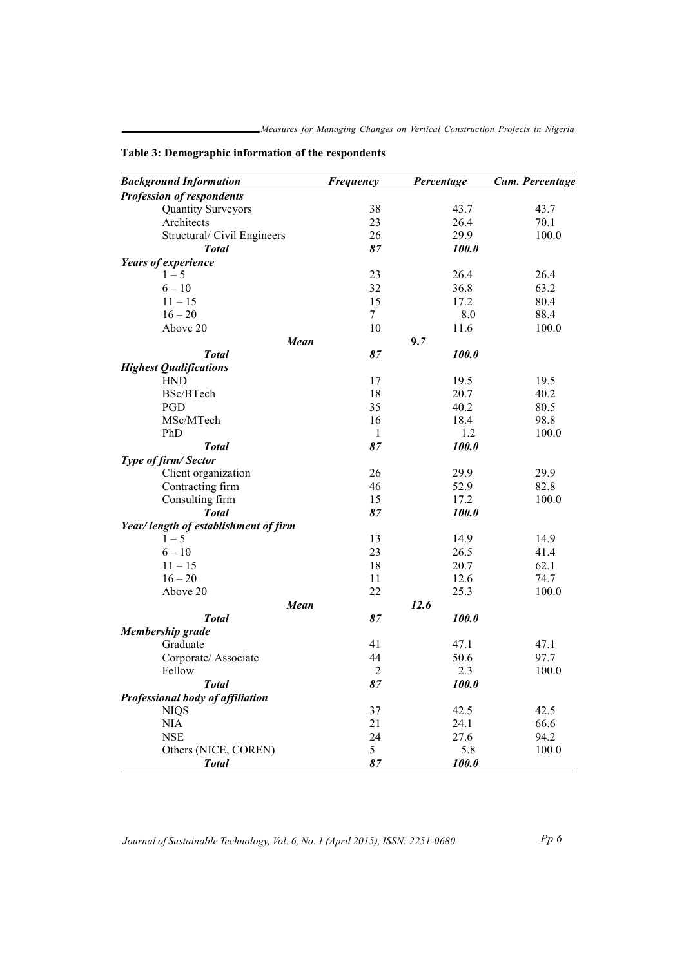| <b>Background Information</b>               | <b>Frequency</b> | Percentage |       | Cum. Percentage |
|---------------------------------------------|------------------|------------|-------|-----------------|
| <b>Profession of respondents</b>            |                  |            |       |                 |
| <b>Quantity Surveyors</b>                   | 38               |            | 43.7  | 43.7            |
| Architects                                  | 23               |            | 26.4  | 70.1            |
| Structural/ Civil Engineers                 | 26               |            | 29.9  | 100.0           |
| <b>Total</b>                                | 87               |            | 100.0 |                 |
| Years of experience                         |                  |            |       |                 |
| $1 - 5$                                     | 23               |            | 26.4  | 26.4            |
| $6 - 10$                                    | 32               |            | 36.8  | 63.2            |
| $11 - 15$                                   | 15               |            | 17.2  | 80.4            |
| $16 - 20$                                   | $\tau$           |            | 8.0   | 88.4            |
| Above 20                                    | 10               |            | 11.6  | 100.0           |
| <b>Mean</b>                                 |                  | 9.7        |       |                 |
| <b>Total</b>                                | 87               |            | 100.0 |                 |
|                                             |                  |            |       |                 |
| <b>Highest Qualifications</b><br><b>HND</b> |                  |            | 19.5  |                 |
|                                             | 17               |            |       | 19.5            |
| BSc/BTech                                   | 18               |            | 20.7  | 40.2            |
| PGD                                         | 35               |            | 40.2  | 80.5            |
| MSc/MTech                                   | 16               |            | 18.4  | 98.8            |
| PhD                                         | $\mathbf{1}$     |            | 1.2   | 100.0           |
| <b>Total</b>                                | 87               |            | 100.0 |                 |
| Type of firm/Sector                         |                  |            |       |                 |
| Client organization                         | 26               |            | 29.9  | 29.9            |
| Contracting firm                            | 46               |            | 52.9  | 82.8            |
| Consulting firm                             | 15               |            | 17.2  | 100.0           |
| <b>Total</b>                                | 87               |            | 100.0 |                 |
| Year/length of establishment of firm        |                  |            |       |                 |
| $1 - 5$                                     | 13               |            | 14.9  | 14.9            |
| $6 - 10$                                    | 23               |            | 26.5  | 41.4            |
| $11 - 15$                                   | 18               |            | 20.7  | 62.1            |
| $16 - 20$                                   | 11               |            | 12.6  | 74.7            |
| Above 20                                    | 22               |            | 25.3  | 100.0           |
| Mean                                        |                  | 12.6       |       |                 |
| <b>Total</b>                                | 87               |            | 100.0 |                 |
| <b>Membership</b> grade                     |                  |            |       |                 |
| Graduate                                    | 41               |            | 47.1  | 47.1            |
| Corporate/ Associate                        | 44               |            | 50.6  | 97.7            |
| Fellow                                      | $\overline{2}$   |            | 2.3   | 100.0           |
| <b>Total</b>                                | 87               |            | 100.0 |                 |
| Professional body of affiliation            |                  |            |       |                 |
| <b>NIQS</b>                                 | 37               |            | 42.5  | 42.5            |
| <b>NIA</b>                                  | 21               |            | 24.1  | 66.6            |
|                                             | 24               |            | 27.6  |                 |
| <b>NSE</b>                                  |                  |            |       | 94.2            |
| Others (NICE, COREN)                        | 5                |            | 5.8   | 100.0           |
| <b>Total</b>                                | 87               |            | 100.0 |                 |

Table 3: Demographic information of the respondents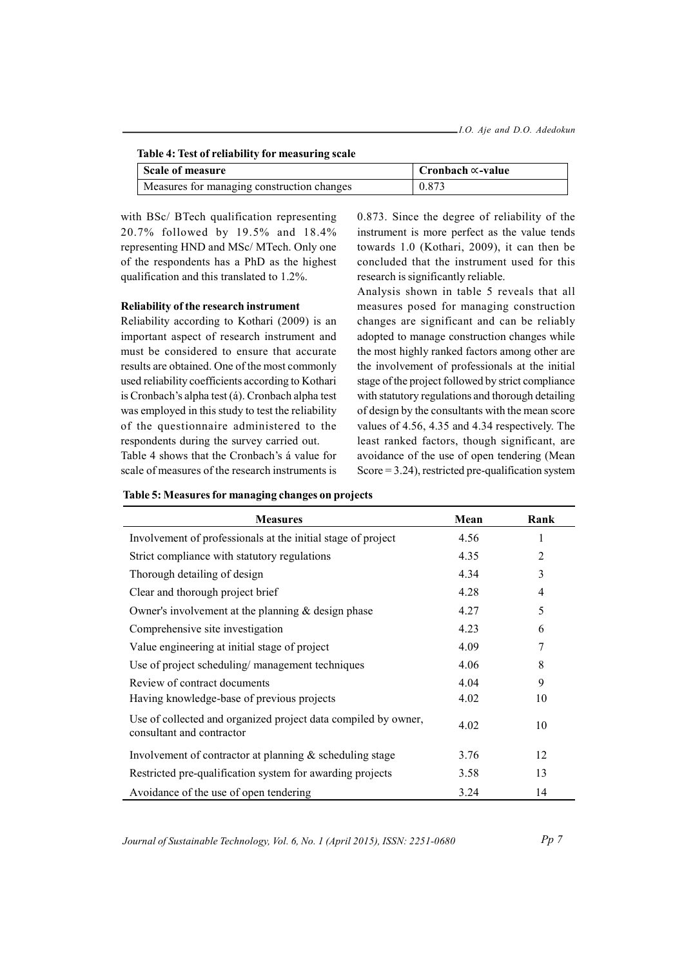| Table 4: Test of reliability for measuring scale |                                   |  |  |
|--------------------------------------------------|-----------------------------------|--|--|
| Scale of measure                                 | $\vert$ Cronbach $\propto$ -value |  |  |
| Measures for managing construction changes       | 0.873                             |  |  |

with BSc/ BTech qualification representing 20.7% followed by 19.5% and 18.4% representing HND and MSc/MTech. Only one of the respondents has a PhD as the highest qualification and this translated to 1.2%.

## Reliability of the research instrument

Reliability according to Kothari (2009) is an important aspect of research instrument and must be considered to ensure that accurate results are obtained. One of the most commonly used reliability coefficients according to Kothari is Cronbach's alpha test (á). Cronbach alpha test was employed in this study to test the reliability of the questionnaire administered to the respondents during the survey carried out. Table 4 shows that the Cronbach's á value for

scale of measures of the research instruments is

0.873. Since the degree of reliability of the instrument is more perfect as the value tends towards 1.0 (Kothari, 2009), it can then be concluded that the instrument used for this research is significantly reliable.

Analysis shown in table 5 reveals that all measures posed for managing construction changes are significant and can be reliably adopted to manage construction changes while the most highly ranked factors among other are the involvement of professionals at the initial stage of the project followed by strict compliance with statutory regulations and thorough detailing of design by the consultants with the mean score values of 4.56, 4.35 and 4.34 respectively. The least ranked factors, though significant, are avoidance of the use of open tendering (Mean Score =  $3.24$ ), restricted pre-qualification system

| <b>Measures</b>                                                                             | Mean | Rank |
|---------------------------------------------------------------------------------------------|------|------|
| Involvement of professionals at the initial stage of project                                | 4.56 | 1    |
| Strict compliance with statutory regulations                                                | 4.35 | 2    |
| Thorough detailing of design                                                                | 4.34 | 3    |
| Clear and thorough project brief                                                            | 4.28 | 4    |
| Owner's involvement at the planning $&$ design phase                                        | 4.27 | 5    |
| Comprehensive site investigation                                                            | 4.23 | 6    |
| Value engineering at initial stage of project                                               | 4.09 | 7    |
| Use of project scheduling/management techniques                                             | 4.06 | 8    |
| Review of contract documents                                                                | 4.04 | 9    |
| Having knowledge-base of previous projects                                                  | 4.02 | 10   |
| Use of collected and organized project data compiled by owner,<br>consultant and contractor | 4.02 | 10   |
| Involvement of contractor at planning $\&$ scheduling stage                                 | 3.76 | 12   |
| Restricted pre-qualification system for awarding projects                                   | 3.58 | 13   |
| Avoidance of the use of open tendering                                                      | 3.24 | 14   |

Table 5: Measures for managing changes on projects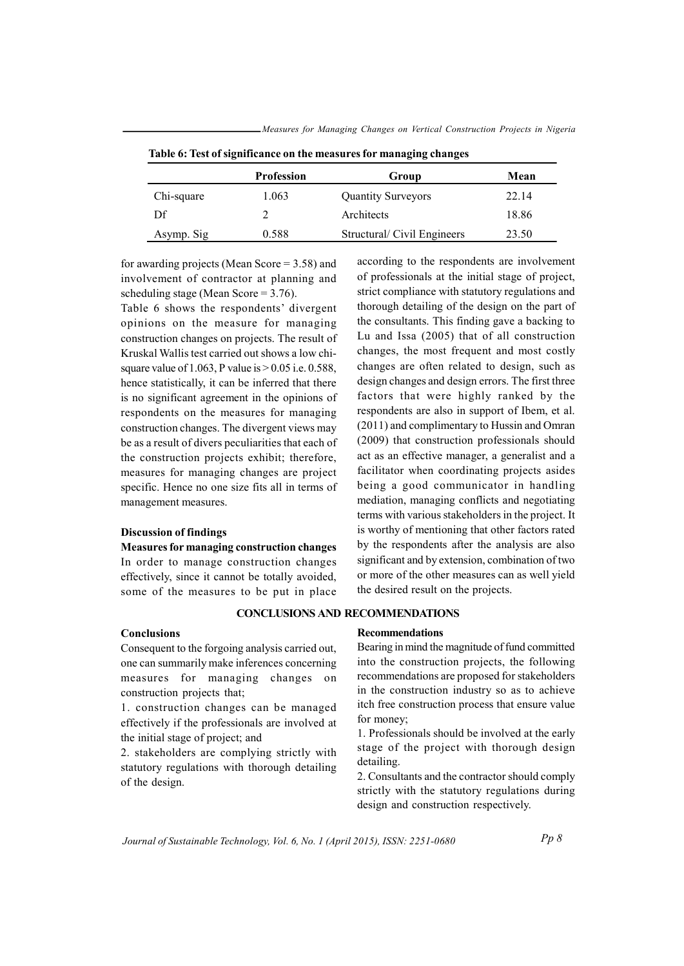|            | <b>Profession</b> | Group                      | Mean  |  |
|------------|-------------------|----------------------------|-------|--|
| Chi-square | 1.063             | <b>Quantity Surveyors</b>  | 22.14 |  |
| Df         |                   | Architects                 | 18.86 |  |
| Asymp. Sig | 0.588             | Structural/Civil Engineers | 23.50 |  |

Table 6: Test of significance on the measures for managing changes

Measures for Managing Changes on Vertical Construction Projects in Nigeria

for awarding projects (Mean Score =  $3.58$ ) and involvement of contractor at planning and scheduling stage (Mean Score =  $3.76$ ).

Table 6 shows the respondents' divergent opinions on the measure for managing construction changes on projects. The result of Kruskal Wallis test carried out shows a low chisquare value of 1.063, P value is  $> 0.05$  i.e. 0.588, hence statistically, it can be inferred that there is no significant agreement in the opinions of respondents on the measures for managing construction changes. The divergent views may be as a result of divers peculiarities that each of the construction projects exhibit; therefore, measures for managing changes are project specific. Hence no one size fits all in terms of management measures.

## **Discussion of findings**

**Measures for managing construction changes** In order to manage construction changes effectively, since it cannot be totally avoided, some of the measures to be put in place

according to the respondents are involvement of professionals at the initial stage of project, strict compliance with statutory regulations and thorough detailing of the design on the part of the consultants. This finding gave a backing to Lu and Issa (2005) that of all construction changes, the most frequent and most costly changes are often related to design, such as design changes and design errors. The first three factors that were highly ranked by the respondents are also in support of Ibem, et al. (2011) and complimentary to Hussin and Omran (2009) that construction professionals should act as an effective manager, a generalist and a facilitator when coordinating projects asides being a good communicator in handling mediation, managing conflicts and negotiating terms with various stakeholders in the project. It is worthy of mentioning that other factors rated by the respondents after the analysis are also significant and by extension, combination of two or more of the other measures can as well yield the desired result on the projects.

## **CONCLUSIONS AND RECOMMENDATIONS**

## Conclusions

Consequent to the forgoing analysis carried out, one can summarily make inferences concerning measures for managing changes on construction projects that;

1. construction changes can be managed effectively if the professionals are involved at the initial stage of project; and

2. stakeholders are complying strictly with statutory regulations with thorough detailing of the design.

## **Recommendations**

Bearing in mind the magnitude of fund committed into the construction projects, the following recommendations are proposed for stakeholders in the construction industry so as to achieve itch free construction process that ensure value for money;

1. Professionals should be involved at the early stage of the project with thorough design detailing.

2. Consultants and the contractor should comply strictly with the statutory regulations during design and construction respectively.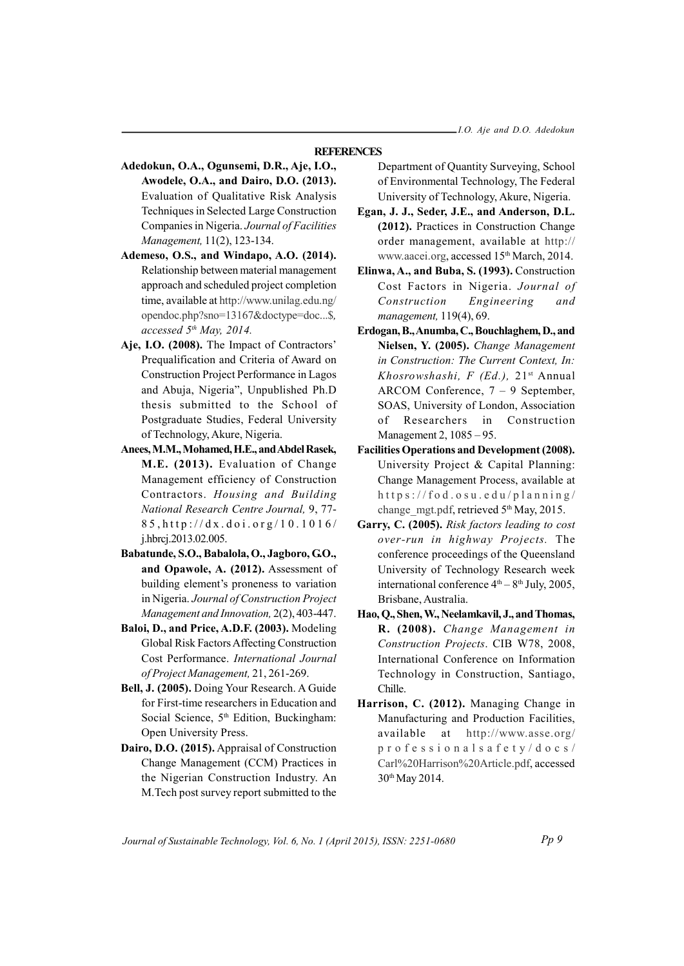## **REFERENCES**

- Adedokun, O.A., Ogunsemi, D.R., Aje, I.O., Awodele, O.A., and Dairo, D.O. (2013). Evaluation of Qualitative Risk Analysis Techniques in Selected Large Construction Companies in Nigeria. Journal of Facilities Management, 11(2), 123-134.
- Ademeso, O.S., and Windapo, A.O. (2014). Relationship between material management approach and scheduled project completion time, available at http://www.unilag.edu.ng/ opendoc.php?sno=13167&doctype=doc...\$. accessed 5th May, 2014.
- Aje, I.O. (2008). The Impact of Contractors' Prequalification and Criteria of Award on Construction Project Performance in Lagos and Abuja, Nigeria", Unpublished Ph.D thesis submitted to the School of Postgraduate Studies, Federal University of Technology, Akure, Nigeria.
- Anees, M.M., Mohamed, H.E., and Abdel Rasek, M.E. (2013). Evaluation of Change Management efficiency of Construction Contractors. Housing and Building National Research Centre Journal, 9, 77- $85$ , http://dx.doi.org/10.1016/ j.hbrcj.2013.02.005.
- Babatunde, S.O., Babalola, O., Jagboro, G.O., and Opawole, A. (2012). Assessment of building element's proneness to variation in Nigeria. Journal of Construction Project Management and Innovation, 2(2), 403-447.
- Baloi, D., and Price, A.D.F. (2003). Modeling Global Risk Factors Affecting Construction Cost Performance. International Journal of Project Management, 21, 261-269.
- Bell, J. (2005). Doing Your Research. A Guide for First-time researchers in Education and Social Science, 5<sup>th</sup> Edition, Buckingham: Open University Press.
- Dairo, D.O. (2015). Appraisal of Construction Change Management (CCM) Practices in the Nigerian Construction Industry. An M. Tech post survey report submitted to the

Department of Quantity Surveying, School of Environmental Technology, The Federal University of Technology, Akure, Nigeria.

- Egan, J. J., Seder, J.E., and Anderson, D.L. (2012). Practices in Construction Change order management, available at http:// www.aacei.org, accessed 15<sup>th</sup> March, 2014.
- Elinwa, A., and Buba, S. (1993). Construction Cost Factors in Nigeria. Journal of Construction Engineering and management, 119(4), 69.
- Erdogan, B., Anumba, C., Bouchlaghem, D., and Nielsen, Y. (2005). Change Management in Construction: The Current Context. In: Khosrowshashi, F (Ed.), 21<sup>st</sup> Annual ARCOM Conference,  $7 - 9$  September, SOAS, University of London, Association Researchers Construction of in Management 2, 1085 - 95.
- **Facilities Operations and Development (2008).** University Project & Capital Planning: Change Management Process, available at https://fod.osu.edu/planning/ change mgt.pdf, retrieved 5th May, 2015.
- Garry, C. (2005). Risk factors leading to cost over-run in highway Projects. The conference proceedings of the Queensland University of Technology Research week international conference  $4<sup>th</sup> - 8<sup>th</sup>$  July, 2005, Brisbane, Australia.
- Hao, Q., Shen, W., Neelamkavil, J., and Thomas, R. (2008). Change Management in Construction Projects. CIB W78, 2008, International Conference on Information Technology in Construction, Santiago, Chille.
- Harrison, C. (2012). Managing Change in Manufacturing and Production Facilities, available at http://www.asse.org/  $professionalsafety/docs/$ Carl%20Harrison%20Article.pdf, accessed 30<sup>th</sup> May 2014.